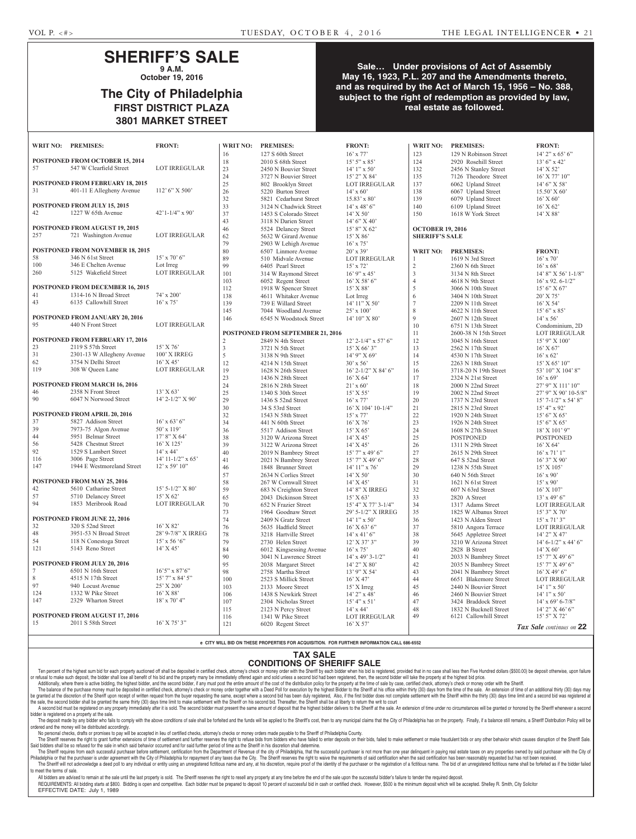## **SHERIFF'S SALE 9 A.M.**

**October 19, 2016**

## **The City of Philadelphia FIRST DISTRICT PLAZA 3801 MARKET STREET**

## **Sale… Under provisions of Act of Assembly May 16, 1923, P.L. 207 and the Amendments thereto, and as required by the Act of March 15, 1956 – No. 388, subject to the right of redemption as provided by law, real estate as followed.**

|          | WRIT NO: PREMISES:                    | <b>FRONT:</b>          | <b>WRIT NO:</b> | <b>PREMISES:</b>                  | <b>FRONT:</b>             | <b>WRIT NO:</b>         | <b>PREMISES:</b>       | <b>FRONT:</b>             |
|----------|---------------------------------------|------------------------|-----------------|-----------------------------------|---------------------------|-------------------------|------------------------|---------------------------|
|          |                                       |                        | 16              | 127 S 60th Street                 | $16'$ x 77'               | 123                     | 129 N Robinson Street  | $14'$ 2" x 65' 6"         |
|          | POSTPONED FROM OCTOBER 15, 2014       |                        | 18              | 2010 S 68th Street                | $15'5''$ x 85'            | 124                     | 2920 Rosehill Street   | $13'6''$ x 42'            |
| 57       | 547 W Clearfield Street               | LOT IRREGULAR          | 23              | 2450 N Bouvier Street             | $14'1''$ x 50'            | 132                     | 2456 N Stanley Street  | $14'$ X 52'               |
|          |                                       |                        | $24\,$          | 3727 N Bouvier Street             | 15' 2" X 84'              | 135                     | 7126 Theodore Street   | 16' X 77' 10"             |
|          | POSTPONED FROM FEBRUARY 18, 2015      |                        | $25\,$          | 802 Brooklyn Street               | LOT IRREGULAR             | 137                     | 6062 Upland Street     | 14' 6" X 58'              |
| 31       | 401-11 E Allegheny Avenue             | $112'$ 6" X 500"       | $26\,$          | 5220 Burton Street                | $14'$ x 60'               | 138                     | 6067 Upland Street     | $15.50'$ X 60'            |
|          |                                       |                        | $32\,$          | 5821 Cedarhurst Street            | $15.83'$ x 80'            | 139                     | 6079 Upland Street     | $16'$ X 60'               |
|          | POSTPONED FROM JULY 15, 2015          |                        | 33              | 3124 N Chadwick Street            | $14'$ x $48'$ 6"          | 140                     | 6109 Upland Street     | 16' X 62'                 |
| 42       | 1227 W 65th Avenue                    | $42'1 - 1/4''$ x 90'   | 37              | 1453 S Colorado Street            | $14'$ X 50'               | 150                     | 1618 W York Street     | 14' X 88'                 |
|          |                                       |                        | 43              | 3118 N Darien Street              | $14'6''$ X 40'            |                         |                        |                           |
|          | POSTPONED FROM AUGUST 19, 2015        |                        | $46\,$          | 5524 Delancey Street              | 15' 8" X 62'              | <b>OCTOBER 19, 2016</b> |                        |                           |
| 257      | 721 Washington Avenue                 | <b>LOT IRREGULAR</b>   | 62              | 5632 W Girard Avenue              | $15'$ X $86'$             | <b>SHERIFF'S SALE</b>   |                        |                           |
|          |                                       |                        | 79              | 2903 W Lehigh Avenue              | $16'$ x 75'               |                         |                        |                           |
|          | POSTPONED FROM NOVEMBER 18, 2015      |                        | $80\,$          | 6507 Linmore Avenue               | $20'$ x 39'               | <b>WRIT NO:</b>         | <b>PREMISES:</b>       | <b>FRONT:</b>             |
| 58       | 346 N 61st Street                     | $15'$ x 70' 6"         | 89              | 510 Midvale Avenue                | <b>LOT IRREGULAR</b>      | 1                       | 1619 N 3rd Street      | $16'$ x $70'$             |
| 100      | 346 E Chelten Avenue                  | Lot Irreg              | 99              | 6405 Pearl Street                 | $15'$ x 72'               | $\overline{2}$          | 2360 N 6th Street      | $16'$ x 68'               |
| 260      | 5125 Wakefield Street                 | <b>LOT IRREGULAR</b>   | 101             | 314 W Raymond Street              | $16'$ 9" x 45'            | $\mathfrak{Z}$          | 3134 N 8th Street      | $14'$ 8" X 56' 1-1/8"     |
|          |                                       |                        | 103             | 6052 Regent Street                | 16' X 58' 6"              | $\overline{4}$          | 4618 N 9th Street      | $16'$ x 92. 6-1/2"        |
|          | POSTPONED FROM DECEMBER 16, 2015      |                        | 112             | 1918 W Spencer Street             | 15' X 88'                 | $\sqrt{5}$              | 3066 N 10th Street     | 15' 6" X 67'              |
| 41       | 1314-16 N Broad Street                | $74'$ x $200'$         | 138             | 4611 Whitaker Avenue              | Lot Irreg                 | 6                       | 3404 N 10th Street     | $20'$ X 75'               |
| 43       | 6135 Callowhill Street                | $16'$ x 75'            | 139             | 739 E Willard Street              | 14' 11" X 50'             | $7\phantom{.0}$         | 2209 N 11th Street     | 16' X 54'                 |
|          |                                       |                        | 145             | 7044 Woodland Avenue              | $25'$ x 100               | $\,$ $\,$               | 4622 N 11th Street     | $15'6''$ x 85'            |
|          | POSTPONED FROM JANUARY 20, 2016       |                        |                 |                                   |                           | $\overline{9}$          |                        |                           |
| 95       | 440 N Front Street                    | <b>LOT IRREGULAR</b>   | 146             | 6545 N Woodstock Street           | 14' 10" X 80'             |                         | 2607 N 12th Street     | $14'$ x 56'               |
|          |                                       |                        |                 |                                   |                           | 10                      | 6751 N 13th Street     | Condominium, 2D           |
|          | POSTPONED FROM FEBRUARY 17, 2016      |                        |                 | POSTPONED FROM SEPTEMBER 21, 2016 |                           | 11                      | 2600-38 N 15th Street  | <b>LOT IRREGULAR</b>      |
|          | 2119 S 57th Street                    | $15'$ X 76'            | $\overline{c}$  | 2849 N 4th Street                 | $12'$ 2-1/4" x 57' 6"     | 12                      | 3045 N 16th Street     | 15' 9" X 100'             |
| 23<br>31 |                                       |                        | $\mathfrak{Z}$  | 3721 N 5th Street                 | $15'$ X 66' 3"            | 13                      | 2562 N 17th Street     | $16'$ X 67'               |
|          | 2301-13 W Allegheny Avenue            | 100' X IRREG           | 5               | 3138 N 9th Street                 | 14' 9" X 69'              | 14                      | 4530 N 17th Street     | $16'$ x 62'               |
| 62       | 3754 N Delhi Street                   | $16'$ X 45'            | $12\,$          | $4214$ N 15th Street              | $30'$ x 56'               | 15                      | 2263 N 18th Street     | 15' X 65' 10"             |
| 119      | 308 W Queen Lane                      | LOT IRREGULAR          | 19              | 1628 N 26th Street                | $16'$ 2- $1/2''$ X 84' 6" | 16                      | 3718-20 N 19th Street  | 53' 10" X 104' 8"         |
|          |                                       |                        | 23              | 1436 N 28th Street                | $16'$ X 64'               | 17                      | 2324 N 21st Street     | $16'$ x 69'               |
|          | POSTPONED FROM MARCH 16, 2016         |                        | $24\,$          | 2816 N 28th Street                | $21'$ x 60'               | 18                      | 2000 N 22nd Street     | 27' 9" X 111' 10"         |
| 46       | 2358 N Front Street                   | 13' X 63'              | 25              | 1340 S 30th Street                | 15' X 55'                 | 19                      | 2002 N 22nd Street     | 27' 9" X 90' 10-5/8"      |
| 90       | 6047 N Norwood Street                 | $14'$ 2- $1/2''$ X 90' | 29              | 1436 S 52nd Street                | $16'$ x 77'               | 20                      | 1737 N 23rd Street     | $15'$ 7- $1/2''$ x 54' 8" |
|          |                                       |                        | $30\,$          | 34 S 53rd Street                  | 16' X 104' 10-1/4"        | 21                      | 2815 N 23rd Street     | $15' 4''$ x 92'           |
|          | POSTPONED FROM APRIL 20, 2016         |                        | 32              | 1543 N 58th Street                | $15'$ x $77'$             | 22                      | 1920 N 24th Street     | 15' 6'' X 65'             |
| 37       | 5827 Addison Street                   | $16'$ x 63' 6"         | 34              | 441 N 60th Street                 | $16'$ X 76'               | 23                      | 1926 N 24th Street     | 15' 6''  X 65'            |
| 39       | 7973-75 Algon Avenue                  | 50' x 119'             | 36              | 5517 Addison Street               | 15' X 65'                 | 24                      | 1608 N 27th Street     | 18' X 101' 9"             |
| 44       | 5951 Belmar Street                    | $17'8''$ X 64'         | 38              | 3120 W Arizona Street             | $14'$ X 45'               | 25                      | <b>POSTPONED</b>       | <b>POSTPONED</b>          |
| 56       | 5428 Chestnut Street                  | 16' X 125'             | 39              | 3122 W Arizona Street             | $14'$ X 45'               | 26                      | 1311 N 29th Street     | $16'$ X 64'               |
| 92       | 1529 S Lambert Street                 | $14'$ x $44'$          | $40\,$          | 2019 N Bambrey Street             | 15' 7" x 49' 6"           | 27                      | 2615 N 29th Street     | $16'$ x $71'$ 1"          |
| 116      | 3006 Page Street                      | $14'$ 11-1/2" x 65'    | 41              | 2021 N Bambrey Street             | 15' 7" X 49' 6"           | 28                      | 647 S 52nd Street      | 16' 3" X 90'              |
| 147      | 1944 E Westmoreland Street            | $12'$ x 59' $10''$     | $46\,$          | 1848 Brunner Street               | 14' 11" x 76'             | 29                      | 1238 N 55th Street     | 15' X 105'                |
|          |                                       |                        | 57              | 2634 N Corlies Street             | 14' X 50'                 | 30                      | 640 N 56th Street      | $16'$ x 90'               |
|          | POSTPONED FROM MAY 25, 2016           |                        | 58              | 267 W Cornwall Street             | 14' X 45'                 | 31                      | 1621 N 61st Street     | $15'$ x 90'               |
| 42       | 5610 Catharine Street                 | 15' 5-1/2" X 80'       | 59              | 683 N Creighton Street            | 14' 8" X IRREG            | 32                      | $607$ N $63$ rd Street | $16'$ X $107'$            |
| 57       | 5710 Delancey Street                  | 15' X 62'              | 65              | 2043 Dickinson Street             | 15' X 63'                 | 33                      | 2820 A Street          | $13'$ x 49' 6"            |
| 94       | 1853 Meribrook Road                   | <b>LOT IRREGULAR</b>   | 70              | 652 N Frazier Street              | 15' 4" X 77' 3-1/4"       | 34                      | 1317 Adams Street      | LOT IRREGULAR             |
|          |                                       |                        | 73              | 1964 Goodnaw Street               | 29' 5-1/2" X IRREG        | 35                      | 1825 W Albanus Street  | $15'3''$ X 70'            |
|          | POSTPONED FROM JUNE 22, 2016          |                        | 74              | 2409 N Gratz Street               | $14'1''$ x 50'            | 36                      | 1423 N Alden Street    | $15'$ x $71'$ 3"          |
| 32       | 320 S 52nd Street                     | 16' X 82'              | 76              | 5635 Hadfield Street              | $16'$ X 63' 6"            | 37                      | 5810 Angora Terrace    | LOT IRREGULAR             |
| 48       | 3951-53 N Broad Street                | 28' 9-7/8" X IRREG     | 78              | 3218 Hartville Street             | $14'$ x $41'$ 6"          | 38                      | 5645 Appletree Street  | 14' 2" X 47'              |
| 54       | 118 N Conestoga Street                | $15'$ x 56 '6"         | 79              | 2730 Helen Street                 | 12' X 37' 3"              | 39                      | 3210 W Arizona Street  | $14'$ 6-1/2" x 44' 6"     |
| 121      | 5143 Reno Street                      | $14'$ X $45'$          | 84              | 6012 Kingsessing Avenue           | $16'$ x 75'               | 40                      | 2828 B Street          | 14' X 60'                 |
|          |                                       |                        | 90              | 3041 N Lawrence Street            | $14'$ x 49' 3-1/2"        | 41                      | 2033 N Bambrey Street  | 15' 7" X 49' 6"           |
|          | POSTPONED FROM JULY 20, 2016          |                        | 95              | 2038 Margaret Street              | $14'$ 2" X 80'            | 42                      | 2035 N Bambrey Street  | $15'$ 7" X 49' 6"         |
| 7        | 6501 N 16th Street                    | $16'5''$ x 87'6"       | 98              | 2758 Martha Street                | 13' 9" X 54'              | 43                      | 2041 N Bambrey Street  | $16'$ X 49' 6"            |
| 8        | 4515 N 17th Street                    | $15'$ 7" x 84' 5"      | 100             | 2523 S Millick Street             | $16'$ X 47'               | 44                      | 6651 Blakemore Street  | LOT IRREGULAR             |
| 97       | 940 Locust Avenue                     | 25' X 200'             | 103             | 2133 Moore Street                 | 15' X Irreg               | 45                      | 2440 N Bouvier Street  | $14'$ 1" x 50"            |
| 124      | 1332 W Pike Street                    | 16' X 88'              | 106             | 1438 S Newkirk Street             | 14' 2" x 48'              | 46                      | 2460 N Bouvier Street  | $14'1''$ x 50'            |
| 147      | 2329 Wharton Street                   | $18'$ x 70' 4"         | 107             | 2304 Nicholas Street              | $15' 4''$ x 51'           | 47                      | 3424 Braddock Street   | $14'$ x 69' 6-7/8"        |
|          |                                       |                        | 115             | 2123 N Percy Street               | $14'$ x $44'$             | 48                      | 1832 N Bucknell Street | 14' 2" X 46' 6"           |
|          | <b>POSTPONED FROM AUGUST 17, 2016</b> |                        | 116             | 1341 W Pike Street                | LOT IRREGULAR             | 49                      | 6121 Callowhill Street | 15' 5" X 72'              |
| 15       | 2011 S 58th Street                    | $16'$ X 75' 3"         | 121             |                                   |                           |                         |                        |                           |
|          |                                       |                        |                 | 6020 Regent Street                | $16'$ X 57'               |                         |                        | Tax Sale continues on 22  |

**e CITY WILL BID ON THESE PROPERTIES FOR ACQUISITION. FOR FURTHER INFORMATION CALL 686-6552**

#### **TAX SALE CONDITIONS OF SHERIFF SALE**

Ten percent of the highest sum bid for each property auctioned off shall be deposited in certified check, attorney's check or money order with the Sheriff by each bidder when his bid is registered, provided that in no case or retusal to make such deposit, the bidder shall lose all benetit of his bid and the property many be immediately offered again and sold unless a second bid had been registered, then, the second bidder will take the prope Additionally, where there is active bidding, the highest bidder, and the second bidder, if any must post the entire amount of the cost of the distribution policy for the property at the time of sale by case, certified chec

The balance of the purchase money must be deposited in certified check, attorney's check or money order together with a Deed Poll for execution by the highest Bidder to the Sheriff at his office within thirty (30) days fro be granted at the discretion of the Sheriff upon receipt of written request from the buyer requesting the same, except where a second bid has been duly registered, Also, if the first bidder does not complete settlement wit the sale, the second bidder shall be granted the same thirty (30) days time limit to make settlement with the Sheriff on his second bid. Thereafter, the Sheriff shall be at liberty to return the writ to court

A second bid must be registered on any property immediately after it is sold. The second bidder must present the same amount of deposit that the highest bidder delivers to the Sheriff at the sale. An extension of time unde bidder is registered on a property at the sale.

The deposit made by any bidder who fails to comply with the above conditions of sale shall be forfeited and the funds will be applied to the Sheriff's cost, then to any municipal claims that the City of Philadelphia has on dered and the money will be distributed accordingly.

No personal checks, drafts or promises to pay will be accepted in lieu of certified checks, attorney's checks or money orders made payable to the Sheriff of Philadelphia County. The Sheriff reserves the right to grant further extensions of time of settlement and further reserves the right to refuse bids from bidders who have failed to enter deposits on their bids, failed to make settlement or make

Said bidders shall be so refused for the sale in which said behavior occurred and for said further period of time as the Sheriff in his discretion shall determine. The Sheriff requires from each successful purchaser before settlement, certification from the Department of Revenue of the city of Philadelphia, that the successful purchaser is not more than one year delinquent in paying Philadelphia or that the purchaser is under agreement with the City of Philadelphia for repayment of any taxes due the City. The Sheriff reserves the right to waive the requirements of said certification when the said cert

The Sheriff will not acknowledge a deed poll to any individual or entity using an unregistered fictitious name and any, at his discretion, require proof of the identity of the purchaser or the registration of a fictitious to meet the terms of sale. All bidders are advised to remain at the sale until the last property is sold. The Sheriff reserves the right to resell any property at any time before the end of the sale upon the successful bidder's failure to tender the

REQUIREMENTS: All bidding starts at \$800. Bidding is open and competitive. Each bidder must be prepared to deposit 10 percent of successful bid in cash or certified check. However, \$500 is the minimum deposit which will be EFFECTIVE DATE: July 1, 1989